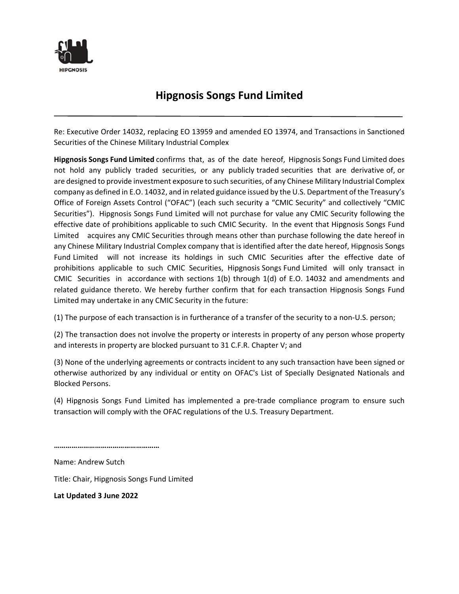

## **Hipgnosis Songs Fund Limited**

Re: Executive Order 14032, replacing EO 13959 and amended EO 13974, and Transactions in Sanctioned Securities of the Chinese Military Industrial Complex

**Hipgnosis Songs Fund Limited** confirms that, as of the date hereof, Hipgnosis Songs Fund Limited does not hold any publicly traded securities, or any publicly traded securities that are derivative of, or are designed to provide investment exposure to such securities, of any Chinese Military Industrial Complex company as defined in E.O. 14032, and in related guidance issued by the U.S. Department of the Treasury's Office of Foreign Assets Control ("OFAC") (each such security a "CMIC Security" and collectively "CMIC Securities"). Hipgnosis Songs Fund Limited will not purchase for value any CMIC Security following the effective date of prohibitions applicable to such CMIC Security. In the event that Hipgnosis Songs Fund Limited acquires any CMIC Securities through means other than purchase following the date hereof in any Chinese Military Industrial Complex company that is identified after the date hereof, Hipgnosis Songs Fund Limited will not increase its holdings in such CMIC Securities after the effective date of prohibitions applicable to such CMIC Securities, Hipgnosis Songs Fund Limited will only transact in CMIC Securities in accordance with sections 1(b) through 1(d) of E.O. 14032 and amendments and related guidance thereto. We hereby further confirm that for each transaction Hipgnosis Songs Fund Limited may undertake in any CMIC Security in the future:

(1) The purpose of each transaction is in furtherance of a transfer of the security to a non-U.S. person;

(2) The transaction does not involve the property or interests in property of any person whose property and interests in property are blocked pursuant to 31 C.F.R. Chapter V; and

(3) None of the underlying agreements or contracts incident to any such transaction have been signed or otherwise authorized by any individual or entity on OFAC's List of Specially Designated Nationals and Blocked Persons.

(4) Hipgnosis Songs Fund Limited has implemented a pre-trade compliance program to ensure such transaction will comply with the OFAC regulations of the U.S. Treasury Department.

**………………………………………………**

Name: Andrew Sutch

Title: Chair, Hipgnosis Songs Fund Limited

**Lat Updated 3 June 2022**